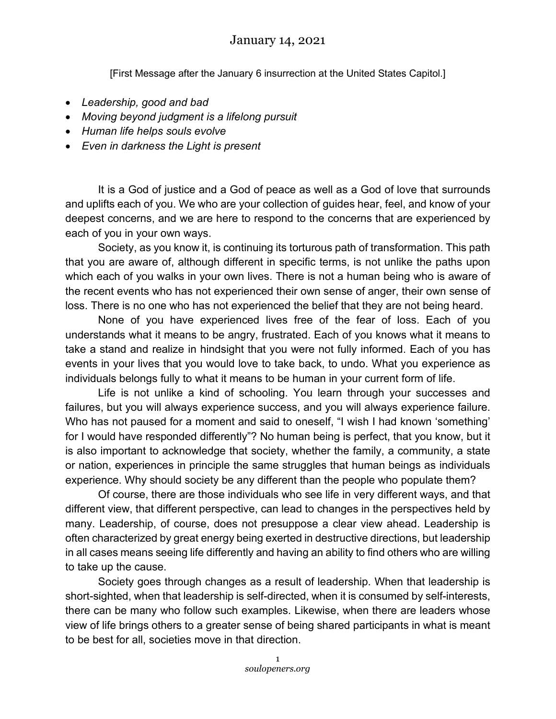## January 14, 2021

[First Message after the January 6 insurrection at the United States Capitol.]

- *Leadership, good and bad*
- *Moving beyond judgment is a lifelong pursuit*
- *Human life helps souls evolve*
- *Even in darkness the Light is present*

It is a God of justice and a God of peace as well as a God of love that surrounds and uplifts each of you. We who are your collection of guides hear, feel, and know of your deepest concerns, and we are here to respond to the concerns that are experienced by each of you in your own ways.

Society, as you know it, is continuing its torturous path of transformation. This path that you are aware of, although different in specific terms, is not unlike the paths upon which each of you walks in your own lives. There is not a human being who is aware of the recent events who has not experienced their own sense of anger, their own sense of loss. There is no one who has not experienced the belief that they are not being heard.

None of you have experienced lives free of the fear of loss. Each of you understands what it means to be angry, frustrated. Each of you knows what it means to take a stand and realize in hindsight that you were not fully informed. Each of you has events in your lives that you would love to take back, to undo. What you experience as individuals belongs fully to what it means to be human in your current form of life.

Life is not unlike a kind of schooling. You learn through your successes and failures, but you will always experience success, and you will always experience failure. Who has not paused for a moment and said to oneself, "I wish I had known 'something' for I would have responded differently"? No human being is perfect, that you know, but it is also important to acknowledge that society, whether the family, a community, a state or nation, experiences in principle the same struggles that human beings as individuals experience. Why should society be any different than the people who populate them?

Of course, there are those individuals who see life in very different ways, and that different view, that different perspective, can lead to changes in the perspectives held by many. Leadership, of course, does not presuppose a clear view ahead. Leadership is often characterized by great energy being exerted in destructive directions, but leadership in all cases means seeing life differently and having an ability to find others who are willing to take up the cause.

Society goes through changes as a result of leadership. When that leadership is short-sighted, when that leadership is self-directed, when it is consumed by self-interests, there can be many who follow such examples. Likewise, when there are leaders whose view of life brings others to a greater sense of being shared participants in what is meant to be best for all, societies move in that direction.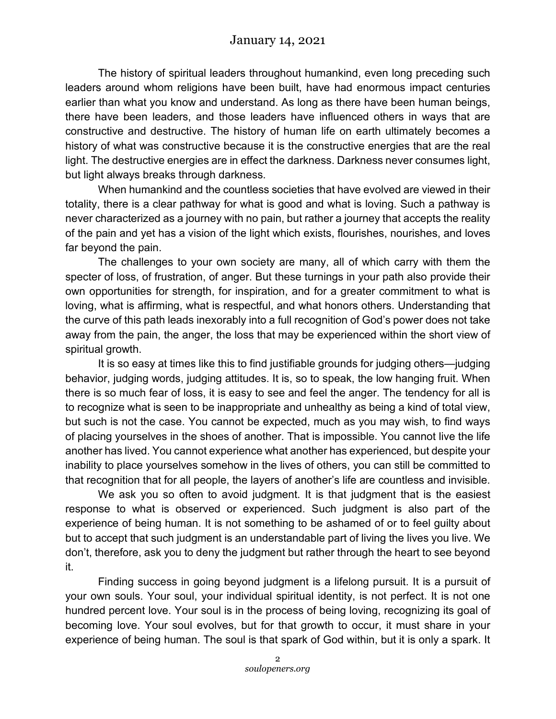The history of spiritual leaders throughout humankind, even long preceding such leaders around whom religions have been built, have had enormous impact centuries earlier than what you know and understand. As long as there have been human beings, there have been leaders, and those leaders have influenced others in ways that are constructive and destructive. The history of human life on earth ultimately becomes a history of what was constructive because it is the constructive energies that are the real light. The destructive energies are in effect the darkness. Darkness never consumes light, but light always breaks through darkness.

When humankind and the countless societies that have evolved are viewed in their totality, there is a clear pathway for what is good and what is loving. Such a pathway is never characterized as a journey with no pain, but rather a journey that accepts the reality of the pain and yet has a vision of the light which exists, flourishes, nourishes, and loves far beyond the pain.

The challenges to your own society are many, all of which carry with them the specter of loss, of frustration, of anger. But these turnings in your path also provide their own opportunities for strength, for inspiration, and for a greater commitment to what is loving, what is affirming, what is respectful, and what honors others. Understanding that the curve of this path leads inexorably into a full recognition of God's power does not take away from the pain, the anger, the loss that may be experienced within the short view of spiritual growth.

It is so easy at times like this to find justifiable grounds for judging others—judging behavior, judging words, judging attitudes. It is, so to speak, the low hanging fruit. When there is so much fear of loss, it is easy to see and feel the anger. The tendency for all is to recognize what is seen to be inappropriate and unhealthy as being a kind of total view, but such is not the case. You cannot be expected, much as you may wish, to find ways of placing yourselves in the shoes of another. That is impossible. You cannot live the life another has lived. You cannot experience what another has experienced, but despite your inability to place yourselves somehow in the lives of others, you can still be committed to that recognition that for all people, the layers of another's life are countless and invisible.

We ask you so often to avoid judgment. It is that judgment that is the easiest response to what is observed or experienced. Such judgment is also part of the experience of being human. It is not something to be ashamed of or to feel guilty about but to accept that such judgment is an understandable part of living the lives you live. We don't, therefore, ask you to deny the judgment but rather through the heart to see beyond it.

Finding success in going beyond judgment is a lifelong pursuit. It is a pursuit of your own souls. Your soul, your individual spiritual identity, is not perfect. It is not one hundred percent love. Your soul is in the process of being loving, recognizing its goal of becoming love. Your soul evolves, but for that growth to occur, it must share in your experience of being human. The soul is that spark of God within, but it is only a spark. It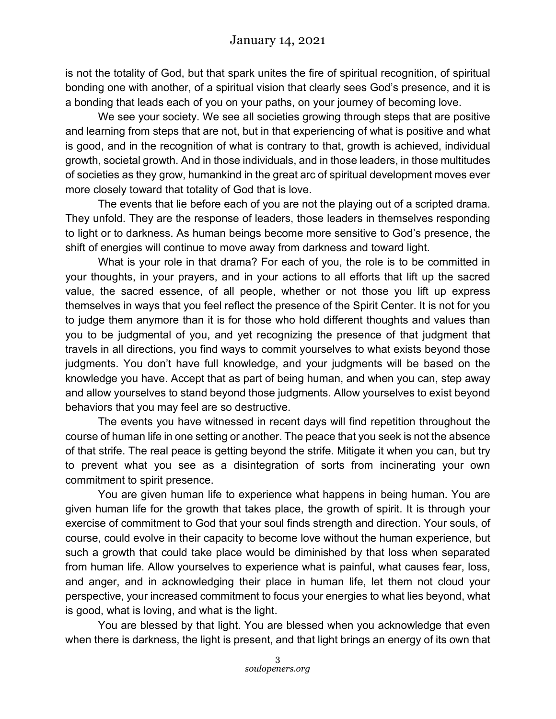is not the totality of God, but that spark unites the fire of spiritual recognition, of spiritual bonding one with another, of a spiritual vision that clearly sees God's presence, and it is a bonding that leads each of you on your paths, on your journey of becoming love.

We see your society. We see all societies growing through steps that are positive and learning from steps that are not, but in that experiencing of what is positive and what is good, and in the recognition of what is contrary to that, growth is achieved, individual growth, societal growth. And in those individuals, and in those leaders, in those multitudes of societies as they grow, humankind in the great arc of spiritual development moves ever more closely toward that totality of God that is love.

The events that lie before each of you are not the playing out of a scripted drama. They unfold. They are the response of leaders, those leaders in themselves responding to light or to darkness. As human beings become more sensitive to God's presence, the shift of energies will continue to move away from darkness and toward light.

What is your role in that drama? For each of you, the role is to be committed in your thoughts, in your prayers, and in your actions to all efforts that lift up the sacred value, the sacred essence, of all people, whether or not those you lift up express themselves in ways that you feel reflect the presence of the Spirit Center. It is not for you to judge them anymore than it is for those who hold different thoughts and values than you to be judgmental of you, and yet recognizing the presence of that judgment that travels in all directions, you find ways to commit yourselves to what exists beyond those judgments. You don't have full knowledge, and your judgments will be based on the knowledge you have. Accept that as part of being human, and when you can, step away and allow yourselves to stand beyond those judgments. Allow yourselves to exist beyond behaviors that you may feel are so destructive.

The events you have witnessed in recent days will find repetition throughout the course of human life in one setting or another. The peace that you seek is not the absence of that strife. The real peace is getting beyond the strife. Mitigate it when you can, but try to prevent what you see as a disintegration of sorts from incinerating your own commitment to spirit presence.

You are given human life to experience what happens in being human. You are given human life for the growth that takes place, the growth of spirit. It is through your exercise of commitment to God that your soul finds strength and direction. Your souls, of course, could evolve in their capacity to become love without the human experience, but such a growth that could take place would be diminished by that loss when separated from human life. Allow yourselves to experience what is painful, what causes fear, loss, and anger, and in acknowledging their place in human life, let them not cloud your perspective, your increased commitment to focus your energies to what lies beyond, what is good, what is loving, and what is the light.

You are blessed by that light. You are blessed when you acknowledge that even when there is darkness, the light is present, and that light brings an energy of its own that